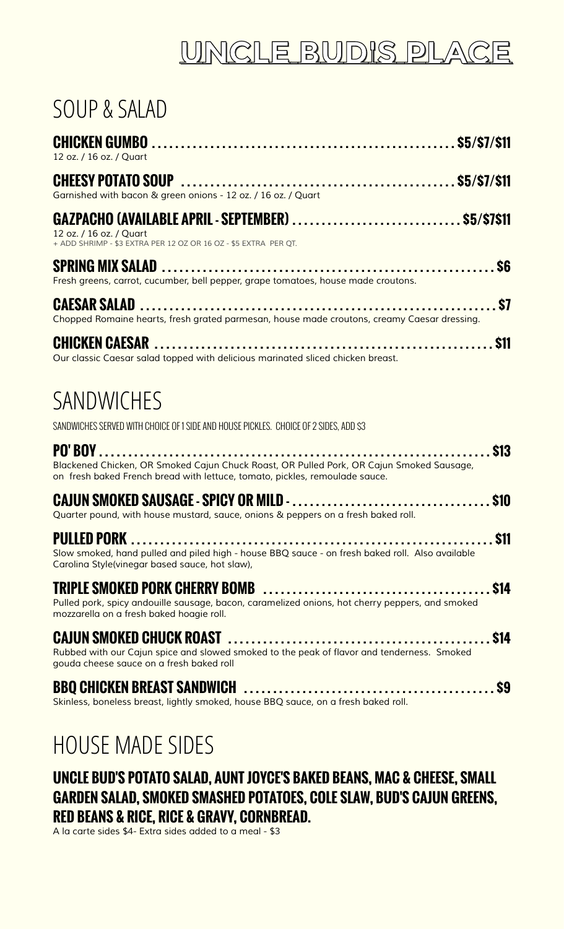## **UNCLE BUD'S PLACE**

#### SOUP & SALAD

| 12 oz. / 16 oz. / Quart                                                                                                                                                      |  |
|------------------------------------------------------------------------------------------------------------------------------------------------------------------------------|--|
| Garnished with bacon & green onions - 12 oz. / 16 oz. / Quart                                                                                                                |  |
| GAZPACHO (AVAILABLE APRIL - SEPTEMBER)  \$5/\$7\$11<br>12 oz. / 16 oz. / Quart<br>12 oz. / 16 oz. / Quart<br>+ ADD SHRIMP - \$3 EXTRA PER 12 OZ OR 16 OZ - \$5 EXTRA PER QT. |  |
| Fresh greens, carrot, cucumber, bell pepper, grape tomatoes, house made croutons.                                                                                            |  |
| Chopped Romaine hearts, fresh grated parmesan, house made croutons, creamy Caesar dressing.                                                                                  |  |
| Our classic Caesar salad topped with delicious marinated sliced chicken breast.                                                                                              |  |

### **SANDWICHES**

SANDWICHES SERVED WITH CHOICE OF 1 SIDE AND HOUSE PICKLES. CHOICE OF 2 SIDES, ADD \$3

| Blackened Chicken, OR Smoked Cajun Chuck Roast, OR Pulled Pork, OR Cajun Smoked Sausage,<br>on fresh baked French bread with lettuce, tomato, pickles, remoulade sauce. |  |
|-------------------------------------------------------------------------------------------------------------------------------------------------------------------------|--|
| Quarter pound, with house mustard, sauce, onions & peppers on a fresh baked roll.                                                                                       |  |
|                                                                                                                                                                         |  |
| Slow smoked, hand pulled and piled high - house BBQ sauce - on fresh baked roll. Also available<br>Carolina Style(vinegar based sauce, hot slaw),                       |  |
| Pulled pork, spicy andouille sausage, bacon, caramelized onions, hot cherry peppers, and smoked<br>mozzarella on a fresh baked hoagie roll.                             |  |
|                                                                                                                                                                         |  |
| Rubbed with our Cajun spice and slowed smoked to the peak of flavor and tenderness. Smoked<br>gouda cheese sauce on a fresh baked roll                                  |  |
|                                                                                                                                                                         |  |
| Skinless, boneless breast, lightly smoked, house BBQ sauce, on a fresh baked roll.                                                                                      |  |

# HOUSE MADE SIDES

#### **UNCLE BUD'S POTATO SALAD, AUNT JOYCE'S BAKED BEANS, MAC & CHEESE, SMALL GARDEN SALAD, SMOKED SMASHED POTATOES, COLE SLAW, BUD'S CAJUN GREENS, RED BEANS & RICE, RICE & GRAVY, CORNBREAD.**

A la carte sides \$4- Extra sides added to a meal - \$3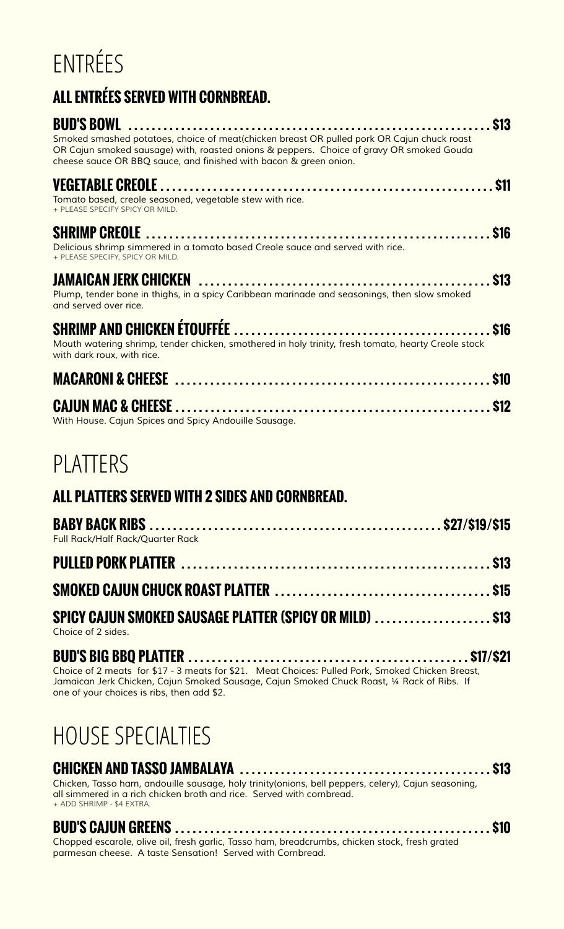## ENTRÉES

#### **ALL ENTRÉES SERVED WITH CORNBREAD.**

| Smoked smashed potatoes, choice of meat(chicken breast OR pulled pork OR Cajun chuck roast<br>OR Cajun smoked sausage) with, roasted onions & peppers. Choice of gravy OR smoked Gouda<br>cheese sauce OR BBQ sauce, and finished with bacon & green onion. |  |
|-------------------------------------------------------------------------------------------------------------------------------------------------------------------------------------------------------------------------------------------------------------|--|
| Tomato based, creole seasoned, vegetable stew with rice.<br>+ PLEASE SPECIFY SPICY OR MILD.                                                                                                                                                                 |  |
| Delicious shrimp simmered in a tomato based Creole sauce and served with rice.<br>+ PLEASE SPECIFY, SPICY OR MILD.                                                                                                                                          |  |
| Plump, tender bone in thighs, in a spicy Caribbean marinade and seasonings, then slow smoked<br>and served over rice.                                                                                                                                       |  |
| Mouth watering shrimp, tender chicken, smothered in holy trinity, fresh tomato, hearty Creole stock<br>with dark roux, with rice.                                                                                                                           |  |
|                                                                                                                                                                                                                                                             |  |
| With House. Cajun Spices and Spicy Andouille Sausage.                                                                                                                                                                                                       |  |

## PLATTERS

#### **ALL PLATTERS SERVED WITH 2 SIDES AND CORNBREAD.**

| Full Rack/Half Rack/Quarter Rack                                               |  |
|--------------------------------------------------------------------------------|--|
|                                                                                |  |
|                                                                                |  |
| SPICY CAJUN SMOKED SAUSAGE PLATTER (SPICY OR MILD)  \$13<br>Choice of 2 sides. |  |

**BUD'S BIG BBQ PLATTER . . . . . . . . . . . . . . . . . . . . . . . . . . . . . . . . . . . . . . . . . . . . . . . . \$17/\$21** Choice of 2 meats for \$17 - 3 meats for \$21. Meat Choices: Pulled Pork, Smoked Chicken Breast, Jamaican Jerk Chicken, Cajun Smoked Sausage, Cajun Smoked Chuck Roast, ¼ Rack of Ribs. If one of your choices is ribs, then add \$2.

## HOUSE SPECIALTIES

#### **CHICKEN AND TASSO JAMBALAYA . . . . . . . . . . . . . . . . . . . . . . . . . . . . . . . . . . . . . . . . . . . \$13** Chicken, Tasso ham, andouille sausage, holy trinity(onions, bell peppers, celery), Cajun seasoning, all simmered in a rich chicken broth and rice. Served with cornbread. + ADD SHRIMP - \$4 EXTRA.

**BUD'S CAJUN GREENS . . . . . . . . . . . . . . . . . . . . . . . . . . . . . . . . . . . . . . . . . . . . . . . . . . . . . . \$10** Chopped escarole, olive oil, fresh garlic, Tasso ham, breadcrumbs, chicken stock, fresh grated parmesan cheese. A taste Sensation! Served with Cornbread.